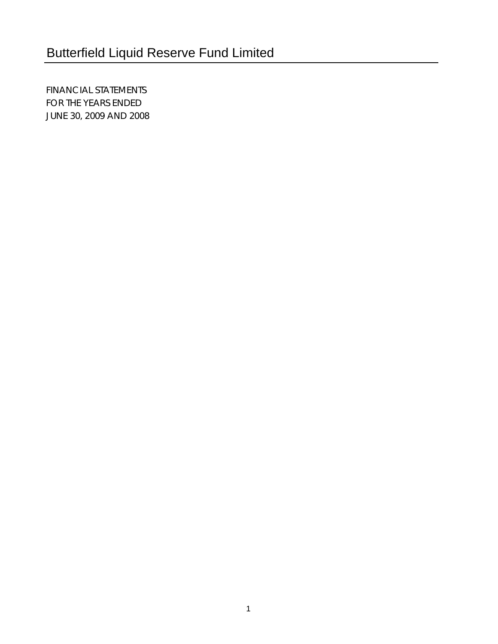FINANCIAL STATEMENTS FOR THE YEARS ENDED JUNE 30, 2009 AND 2008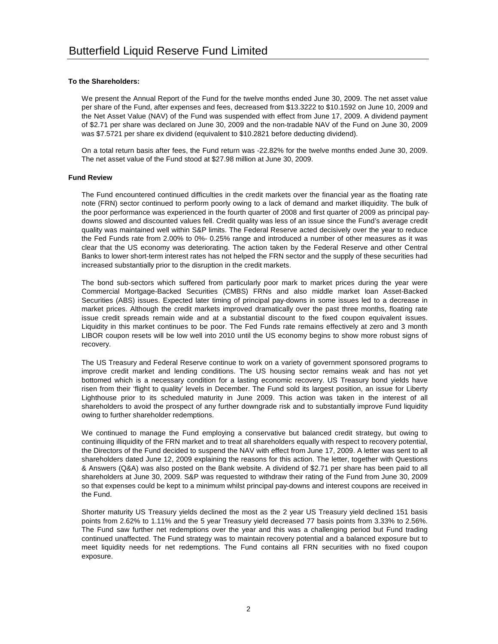## **To the Shareholders:**

We present the Annual Report of the Fund for the twelve months ended June 30, 2009. The net asset value per share of the Fund, after expenses and fees, decreased from \$13.3222 to \$10.1592 on June 10, 2009 and the Net Asset Value (NAV) of the Fund was suspended with effect from June 17, 2009. A dividend payment of \$2.71 per share was declared on June 30, 2009 and the non-tradable NAV of the Fund on June 30, 2009 was \$7.5721 per share ex dividend (equivalent to \$10.2821 before deducting dividend).

On a total return basis after fees, the Fund return was -22.82% for the twelve months ended June 30, 2009. The net asset value of the Fund stood at \$27.98 million at June 30, 2009.

### **Fund Review**

The Fund encountered continued difficulties in the credit markets over the financial year as the floating rate note (FRN) sector continued to perform poorly owing to a lack of demand and market illiquidity. The bulk of the poor performance was experienced in the fourth quarter of 2008 and first quarter of 2009 as principal paydowns slowed and discounted values fell. Credit quality was less of an issue since the Fund's average credit quality was maintained well within S&P limits. The Federal Reserve acted decisively over the year to reduce the Fed Funds rate from 2.00% to 0%- 0.25% range and introduced a number of other measures as it was clear that the US economy was deteriorating. The action taken by the Federal Reserve and other Central Banks to lower short-term interest rates has not helped the FRN sector and the supply of these securities had increased substantially prior to the disruption in the credit markets.

The bond sub-sectors which suffered from particularly poor mark to market prices during the year were Commercial Mortgage-Backed Securities (CMBS) FRNs and also middle market loan Asset-Backed Securities (ABS) issues. Expected later timing of principal pay-downs in some issues led to a decrease in market prices. Although the credit markets improved dramatically over the past three months, floating rate issue credit spreads remain wide and at a substantial discount to the fixed coupon equivalent issues. Liquidity in this market continues to be poor. The Fed Funds rate remains effectively at zero and 3 month LIBOR coupon resets will be low well into 2010 until the US economy begins to show more robust signs of recovery.

The US Treasury and Federal Reserve continue to work on a variety of government sponsored programs to improve credit market and lending conditions. The US housing sector remains weak and has not yet bottomed which is a necessary condition for a lasting economic recovery. US Treasury bond yields have risen from their 'flight to quality' levels in December. The Fund sold its largest position, an issue for Liberty Lighthouse prior to its scheduled maturity in June 2009. This action was taken in the interest of all shareholders to avoid the prospect of any further downgrade risk and to substantially improve Fund liquidity owing to further shareholder redemptions.

We continued to manage the Fund employing a conservative but balanced credit strategy, but owing to continuing illiquidity of the FRN market and to treat all shareholders equally with respect to recovery potential, the Directors of the Fund decided to suspend the NAV with effect from June 17, 2009. A letter was sent to all shareholders dated June 12, 2009 explaining the reasons for this action. The letter, together with Questions & Answers (Q&A) was also posted on the Bank website. A dividend of \$2.71 per share has been paid to all shareholders at June 30, 2009. S&P was requested to withdraw their rating of the Fund from June 30, 2009 so that expenses could be kept to a minimum whilst principal pay-downs and interest coupons are received in the Fund.

Shorter maturity US Treasury yields declined the most as the 2 year US Treasury yield declined 151 basis points from 2.62% to 1.11% and the 5 year Treasury yield decreased 77 basis points from 3.33% to 2.56%. The Fund saw further net redemptions over the year and this was a challenging period but Fund trading continued unaffected. The Fund strategy was to maintain recovery potential and a balanced exposure but to meet liquidity needs for net redemptions. The Fund contains all FRN securities with no fixed coupon exposure.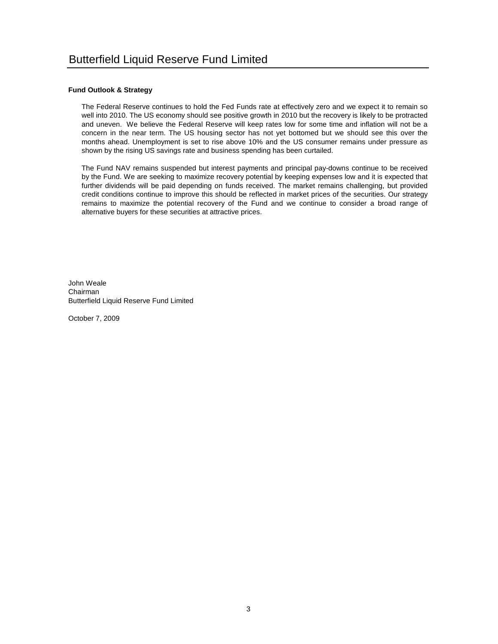## **Fund Outlook & Strategy**

The Federal Reserve continues to hold the Fed Funds rate at effectively zero and we expect it to remain so well into 2010. The US economy should see positive growth in 2010 but the recovery is likely to be protracted and uneven. We believe the Federal Reserve will keep rates low for some time and inflation will not be a concern in the near term. The US housing sector has not yet bottomed but we should see this over the months ahead. Unemployment is set to rise above 10% and the US consumer remains under pressure as shown by the rising US savings rate and business spending has been curtailed.

The Fund NAV remains suspended but interest payments and principal pay-downs continue to be received by the Fund. We are seeking to maximize recovery potential by keeping expenses low and it is expected that further dividends will be paid depending on funds received. The market remains challenging, but provided credit conditions continue to improve this should be reflected in market prices of the securities. Our strategy remains to maximize the potential recovery of the Fund and we continue to consider a broad range of alternative buyers for these securities at attractive prices.

John Weale Chairman Butterfield Liquid Reserve Fund Limited

October 7, 2009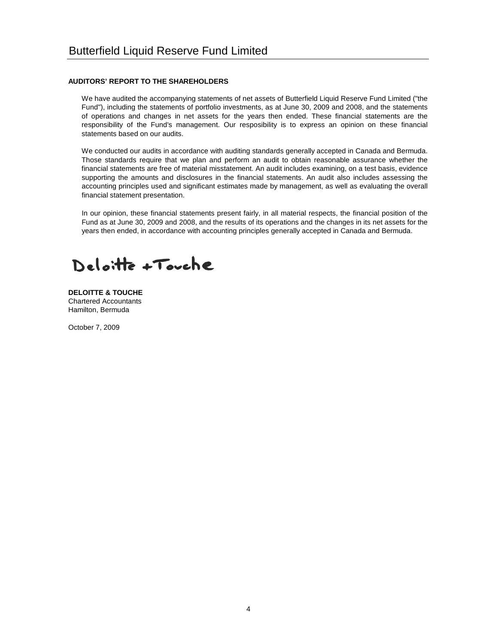## **AUDITORS' REPORT TO THE SHAREHOLDERS**

We have audited the accompanying statements of net assets of Butterfield Liquid Reserve Fund Limited ("the Fund"), including the statements of portfolio investments, as at June 30, 2009 and 2008, and the statements of operations and changes in net assets for the years then ended. These financial statements are the responsibility of the Fund's management. Our resposibility is to express an opinion on these financial statements based on our audits.

We conducted our audits in accordance with auditing standards generally accepted in Canada and Bermuda. Those standards require that we plan and perform an audit to obtain reasonable assurance whether the financial statements are free of material misstatement. An audit includes examining, on a test basis, evidence supporting the amounts and disclosures in the financial statements. An audit also includes assessing the accounting principles used and significant estimates made by management, as well as evaluating the overall financial statement presentation.

In our opinion, these financial statements present fairly, in all material respects, the financial position of the Fund as at June 30, 2009 and 2008, and the results of its operations and the changes in its net assets for the years then ended, in accordance with accounting principles generally accepted in Canada and Bermuda.

Deloitte + Touche

**DELOITTE & TOUCHE** Chartered Accountants Hamilton, Bermuda

October 7, 2009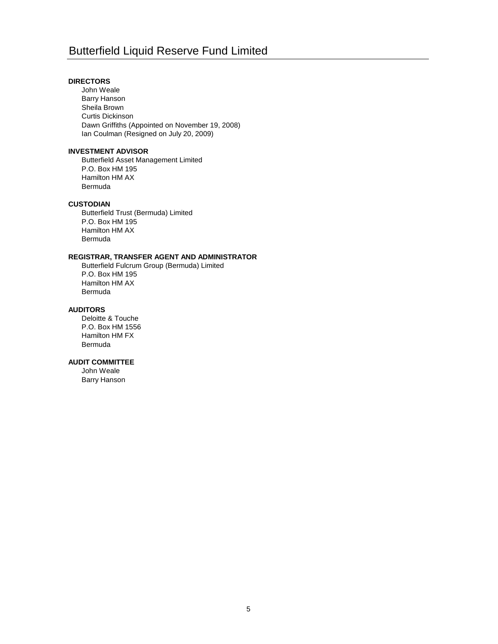## **DIRECTORS**

John Weale Barry Hanson Sheila Brown Curtis Dickinson Dawn Griffiths (Appointed on November 19, 2008) Ian Coulman (Resigned on July 20, 2009)

## **INVESTMENT ADVISOR**

Butterfield Asset Management Limited P.O. Box HM 195 Hamilton HM AX Bermuda

## **CUSTODIAN**

Butterfield Trust (Bermuda) Limited P.O. Box HM 195 Hamilton HM AX Bermuda

## **REGISTRAR, TRANSFER AGENT AND ADMINISTRATOR**

Butterfield Fulcrum Group (Bermuda) Limited P.O. Box HM 195 Hamilton HM AX Bermuda

## **AUDITORS**

Deloitte & Touche P.O. Box HM 1556 Hamilton HM FX Bermuda

## **AUDIT COMMITTEE**

John Weale Barry Hanson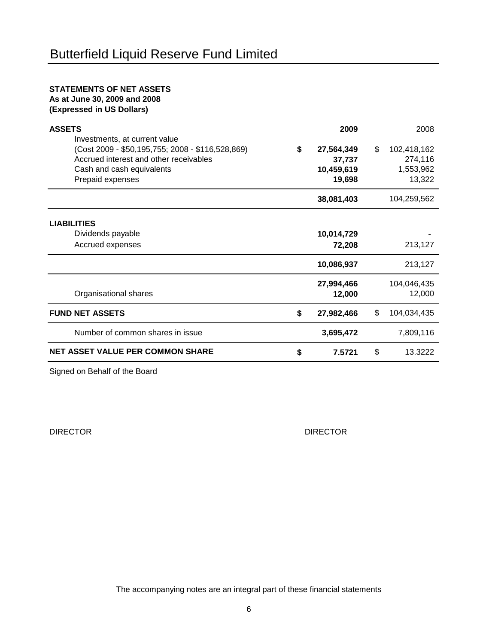## **STATEMENTS OF NET ASSETS As at June 30, 2009 and 2008 (Expressed in US Dollars)**

| <b>ASSETS</b><br>Investments, at current value                                                                                              | 2009                                               | 2008                                                |
|---------------------------------------------------------------------------------------------------------------------------------------------|----------------------------------------------------|-----------------------------------------------------|
| (Cost 2009 - \$50,195,755; 2008 - \$116,528,869)<br>Accrued interest and other receivables<br>Cash and cash equivalents<br>Prepaid expenses | \$<br>27,564,349<br>37,737<br>10,459,619<br>19,698 | \$<br>102,418,162<br>274,116<br>1,553,962<br>13,322 |
|                                                                                                                                             | 38,081,403                                         | 104,259,562                                         |
| LIABILITIES                                                                                                                                 |                                                    |                                                     |
| Dividends payable                                                                                                                           | 10,014,729                                         |                                                     |
| Accrued expenses                                                                                                                            | 72,208                                             | 213,127                                             |
|                                                                                                                                             | 10,086,937                                         | 213,127                                             |
| Organisational shares                                                                                                                       | 27,994,466<br>12,000                               | 104,046,435<br>12,000                               |
| <b>FUND NET ASSETS</b>                                                                                                                      | \$<br>27,982,466                                   | \$<br>104,034,435                                   |
| Number of common shares in issue                                                                                                            | 3,695,472                                          | 7,809,116                                           |
| <b>NET ASSET VALUE PER COMMON SHARE</b>                                                                                                     | \$<br>7.5721                                       | \$<br>13.3222                                       |
|                                                                                                                                             |                                                    |                                                     |

Signed on Behalf of the Board

DIRECTOR DIRECTOR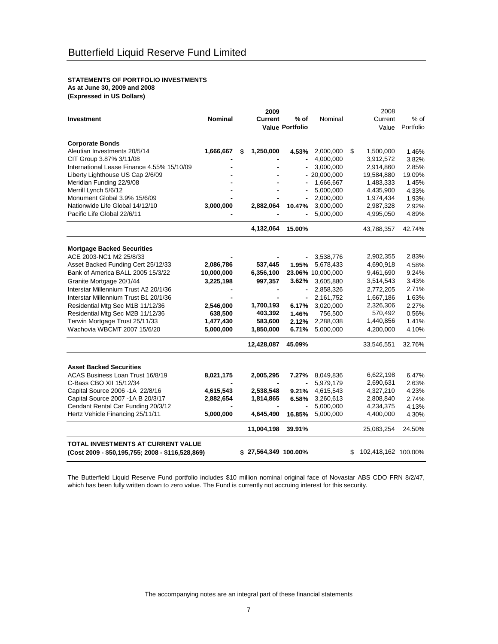# **STATEMENTS OF PORTFOLIO INVESTMENTS**

**As at June 30, 2009 and 2008 (Expressed in US Dollars)**

|                                                                                        |                | 2009                  |                              |                   |         | 2008                |           |
|----------------------------------------------------------------------------------------|----------------|-----------------------|------------------------------|-------------------|---------|---------------------|-----------|
| <b>Investment</b>                                                                      | <b>Nominal</b> | <b>Current</b>        | $%$ of                       | Nominal           | Current |                     | $%$ of    |
|                                                                                        |                |                       | <b>Value Portfolio</b>       |                   |         | Value               | Portfolio |
|                                                                                        |                |                       |                              |                   |         |                     |           |
| <b>Corporate Bonds</b>                                                                 |                |                       |                              |                   |         |                     |           |
| Aleutian Investments 20/5/14                                                           | 1,666,667      | 1,250,000<br>\$       | 4.53%                        | 2,000,000         | \$      | 1,500,000           | 1.46%     |
| CIT Group 3.87% 3/11/08                                                                |                |                       |                              | 4,000,000         |         | 3,912,572           | 3.82%     |
| International Lease Finance 4.55% 15/10/09                                             |                |                       |                              | 3,000,000         |         | 2,914,860           | 2.85%     |
| Liberty Lighthouse US Cap 2/6/09                                                       |                |                       |                              | 20,000,000        |         | 19,584,880          | 19.09%    |
| Meridian Funding 22/9/08                                                               |                |                       |                              | 1,666,667         |         | 1,483,333           | 1.45%     |
| Merrill Lynch 5/6/12                                                                   |                |                       |                              | 5,000,000         |         | 4,435,900           | 4.33%     |
| Monument Global 3.9% 15/6/09                                                           |                |                       |                              | 2,000,000         |         | 1,974,434           | 1.93%     |
| Nationwide Life Global 14/12/10                                                        | 3,000,000      | 2,882,064             | 10.47%                       | 3,000,000         |         | 2,987,328           | 2.92%     |
| Pacific Life Global 22/6/11                                                            |                |                       |                              | 5,000,000         |         | 4,995,050           | 4.89%     |
|                                                                                        |                | 4,132,064             | 15.00%                       |                   |         | 43,788,357          | 42.74%    |
|                                                                                        |                |                       |                              |                   |         |                     |           |
| <b>Mortgage Backed Securities</b><br>ACE 2003-NC1 M2 25/8/33                           |                |                       |                              | 3,538,776         |         | 2,902,355           | 2.83%     |
| Asset Backed Funding Cert 25/12/33                                                     | 2,086,786      | 537,445               |                              | 5,678,433         |         | 4,690,918           | 4.58%     |
|                                                                                        |                |                       | 1.95%                        |                   |         |                     | 9.24%     |
| Bank of America BALL 2005 15/3/22                                                      | 10,000,000     | 6,356,100             |                              | 23.06% 10,000,000 |         | 9,461,690           |           |
| Granite Mortgage 20/1/44                                                               | 3,225,198      | 997,357               | 3.62%                        | 3,605,880         |         | 3,514,543           | 3.43%     |
| Interstar Millennium Trust A2 20/1/36                                                  |                |                       | $\qquad \qquad \blacksquare$ | 2,858,326         |         | 2,772,205           | 2.71%     |
| Interstar Millennium Trust B1 20/1/36                                                  |                |                       |                              | 2,161,752         |         | 1,667,186           | 1.63%     |
| Residential Mtg Sec M1B 11/12/36                                                       | 2,546,000      | 1,700,193             | 6.17%                        | 3,020,000         |         | 2,326,306           | 2.27%     |
| Residential Mtg Sec M2B 11/12/36                                                       | 638,500        | 403,392               | 1.46%                        | 756,500           |         | 570,492             | 0.56%     |
| Terwin Mortgage Trust 25/11/33                                                         | 1,477,430      | 583,600               | 2.12%                        | 2,288,038         |         | 1,440,856           | 1.41%     |
| Wachovia WBCMT 2007 15/6/20                                                            | 5,000,000      | 1,850,000             | 6.71%                        | 5,000,000         |         | 4,200,000           | 4.10%     |
|                                                                                        |                | 12,428,087            | 45.09%                       |                   |         | 33,546,551          | 32.76%    |
|                                                                                        |                |                       |                              |                   |         |                     |           |
| <b>Asset Backed Securities</b><br>ACAS Business Loan Trust 16/8/19                     | 8,021,175      |                       | 7.27%                        |                   |         | 6,622,198           | 6.47%     |
|                                                                                        |                | 2,005,295             |                              | 8,049,836         |         |                     |           |
| C-Bass CBO XII 15/12/34                                                                |                |                       |                              | 5,979,179         |         | 2,690,631           | 2.63%     |
| Capital Source 2006 - 1A 22/8/16                                                       | 4,615,543      | 2,538,548             | 9.21%                        | 4,615,543         |         | 4,327,210           | 4.23%     |
| Capital Source 2007 - 1A B 20/3/17                                                     | 2,882,654      | 1,814,865             | 6.58%                        | 3,260,613         |         | 2,808,840           | 2.74%     |
| Cendant Rental Car Funding 20/3/12                                                     | 5,000,000      |                       |                              | 5,000,000         |         | 4,234,375           | 4.13%     |
| Hertz Vehicle Financing 25/11/11                                                       |                | 4,645,490             | 16.85%                       | 5,000,000         |         | 4,400,000           | 4.30%     |
|                                                                                        |                | 11,004,198            | 39.91%                       |                   |         | 25,083,254          | 24.50%    |
| TOTAL INVESTMENTS AT CURRENT VALUE<br>(Cost 2009 - \$50,195,755; 2008 - \$116,528,869) |                | $$27,564,349$ 100.00% |                              |                   | \$.     | 102,418,162 100.00% |           |
|                                                                                        |                |                       |                              |                   |         |                     |           |

The Butterfield Liquid Reserve Fund portfolio includes \$10 million nominal original face of Novastar ABS CDO FRN 8/2/47, which has been fully written down to zero value. The Fund is currently not accruing interest for this security.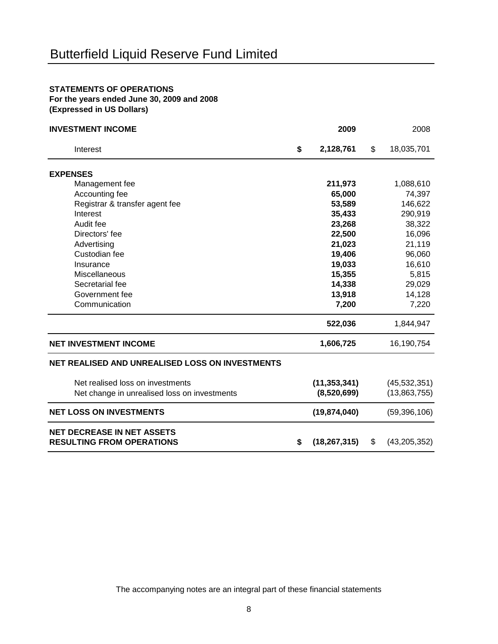## **STATEMENTS OF OPERATIONS For the years ended June 30, 2009 and 2008 (Expressed in US Dollars)**

| <b>INVESTMENT INCOME</b>                                              | 2009                 | 2008                 |
|-----------------------------------------------------------------------|----------------------|----------------------|
| Interest                                                              | \$<br>2,128,761      | \$<br>18,035,701     |
| <b>EXPENSES</b>                                                       |                      |                      |
| Management fee                                                        | 211,973              | 1,088,610            |
| Accounting fee                                                        | 65,000               | 74,397               |
| Registrar & transfer agent fee                                        | 53,589               | 146,622              |
| Interest                                                              | 35,433               | 290,919              |
| Audit fee                                                             | 23,268               | 38,322               |
| Directors' fee                                                        | 22,500               | 16,096               |
| Advertising                                                           | 21,023               | 21,119               |
| Custodian fee                                                         | 19,406               | 96,060               |
| Insurance                                                             | 19,033               | 16,610               |
| Miscellaneous                                                         | 15,355               | 5,815                |
| Secretarial fee                                                       | 14,338               | 29,029               |
| Government fee                                                        | 13,918               | 14,128               |
| Communication                                                         | 7,200                | 7,220                |
|                                                                       | 522,036              | 1,844,947            |
| <b>NET INVESTMENT INCOME</b>                                          | 1,606,725            | 16,190,754           |
| NET REALISED AND UNREALISED LOSS ON INVESTMENTS                       |                      |                      |
| Net realised loss on investments                                      | (11, 353, 341)       | (45, 532, 351)       |
| Net change in unrealised loss on investments                          | (8,520,699)          | (13,863,755)         |
| <b>NET LOSS ON INVESTMENTS</b>                                        | (19, 874, 040)       | (59, 396, 106)       |
| <b>NET DECREASE IN NET ASSETS</b><br><b>RESULTING FROM OPERATIONS</b> | \$<br>(18, 267, 315) | \$<br>(43, 205, 352) |

The accompanying notes are an integral part of these financial statements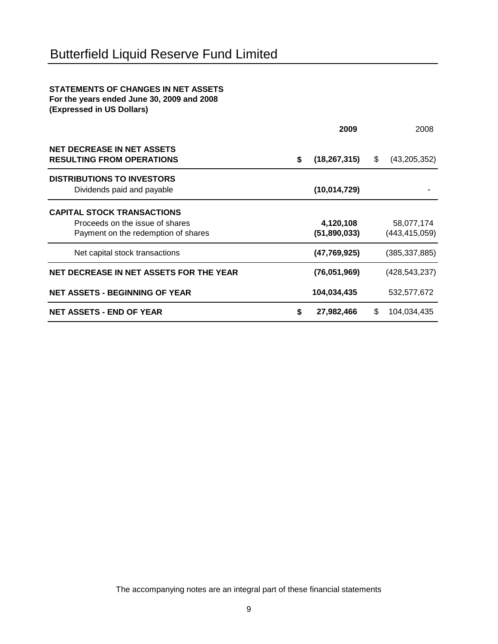# **STATEMENTS OF CHANGES IN NET ASSETS For the years ended June 30, 2009 and 2008**

**(Expressed in US Dollars)**

|                                                                                                             | 2009                      |    | 2008                          |
|-------------------------------------------------------------------------------------------------------------|---------------------------|----|-------------------------------|
| <b>NET DECREASE IN NET ASSETS</b><br><b>RESULTING FROM OPERATIONS</b>                                       | \$<br>(18, 267, 315)      | \$ | (43, 205, 352)                |
| <b>DISTRIBUTIONS TO INVESTORS</b><br>Dividends paid and payable                                             | (10,014,729)              |    |                               |
| <b>CAPITAL STOCK TRANSACTIONS</b><br>Proceeds on the issue of shares<br>Payment on the redemption of shares | 4,120,108<br>(51,890,033) |    | 58,077,174<br>(443, 415, 059) |
| Net capital stock transactions                                                                              | (47, 769, 925)            |    | (385,337,885)                 |
| NET DECREASE IN NET ASSETS FOR THE YEAR                                                                     | (76,051,969)              |    | (428, 543, 237)               |
| <b>NET ASSETS - BEGINNING OF YEAR</b>                                                                       | 104,034,435               |    | 532,577,672                   |
| <b>NET ASSETS - END OF YEAR</b>                                                                             | \$<br>27,982,466          | S  | 104,034,435                   |

The accompanying notes are an integral part of these financial statements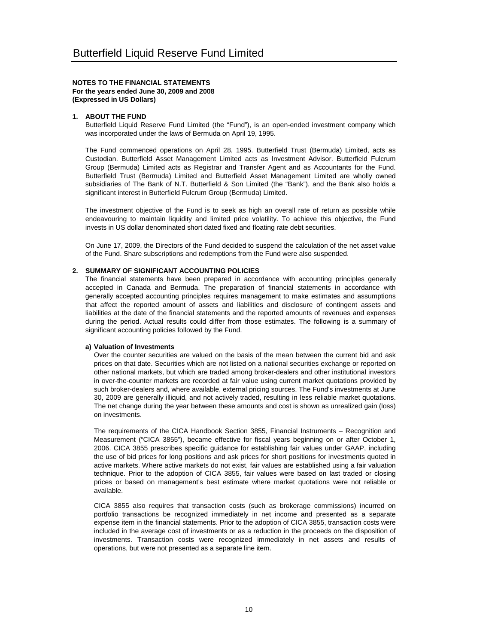#### **1. ABOUT THE FUND**

Butterfield Liquid Reserve Fund Limited (the "Fund"), is an open-ended investment company which was incorporated under the laws of Bermuda on April 19, 1995.

The Fund commenced operations on April 28, 1995. Butterfield Trust (Bermuda) Limited, acts as Custodian. Butterfield Asset Management Limited acts as Investment Advisor. Butterfield Fulcrum Group (Bermuda) Limited acts as Registrar and Transfer Agent and as Accountants for the Fund. Butterfield Trust (Bermuda) Limited and Butterfield Asset Management Limited are wholly owned subsidiaries of The Bank of N.T. Butterfield & Son Limited (the "Bank"), and the Bank also holds a significant interest in Butterfield Fulcrum Group (Bermuda) Limited.

The investment objective of the Fund is to seek as high an overall rate of return as possible while endeavouring to maintain liquidity and limited price volatility. To achieve this objective, the Fund invests in US dollar denominated short dated fixed and floating rate debt securities.

On June 17, 2009, the Directors of the Fund decided to suspend the calculation of the net asset value of the Fund. Share subscriptions and redemptions from the Fund were also suspended.

## **2. SUMMARY OF SIGNIFICANT ACCOUNTING POLICIES**

The financial statements have been prepared in accordance with accounting principles generally accepted in Canada and Bermuda. The preparation of financial statements in accordance with generally accepted accounting principles requires management to make estimates and assumptions that affect the reported amount of assets and liabilities and disclosure of contingent assets and liabilities at the date of the financial statements and the reported amounts of revenues and expenses during the period. Actual results could differ from those estimates. The following is a summary of significant accounting policies followed by the Fund.

#### **a) Valuation of Investments**

Over the counter securities are valued on the basis of the mean between the current bid and ask prices on that date. Securities which are not listed on a national securities exchange or reported on other national markets, but which are traded among broker-dealers and other institutional investors in over-the-counter markets are recorded at fair value using current market quotations provided by such broker-dealers and, where available, external pricing sources. The Fund's investments at June 30, 2009 are generally illiquid, and not actively traded, resulting in less reliable market quotations. The net change during the year between these amounts and cost is shown as unrealized gain (loss) on investments.

The requirements of the CICA Handbook Section 3855, Financial Instruments – Recognition and Measurement ("CICA 3855"), became effective for fiscal years beginning on or after October 1, 2006. CICA 3855 prescribes specific guidance for establishing fair values under GAAP, including the use of bid prices for long positions and ask prices for short positions for investments quoted in active markets. Where active markets do not exist, fair values are established using a fair valuation technique. Prior to the adoption of CICA 3855, fair values were based on last traded or closing prices or based on management's best estimate where market quotations were not reliable or available.

CICA 3855 also requires that transaction costs (such as brokerage commissions) incurred on portfolio transactions be recognized immediately in net income and presented as a separate expense item in the financial statements. Prior to the adoption of CICA 3855, transaction costs were included in the average cost of investments or as a reduction in the proceeds on the disposition of investments. Transaction costs were recognized immediately in net assets and results of operations, but were not presented as a separate line item.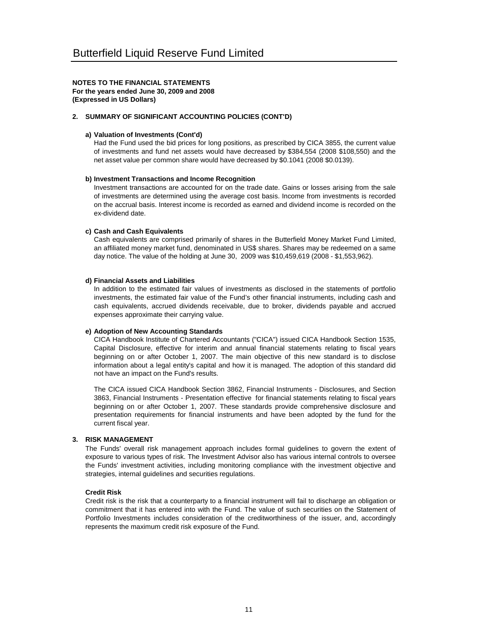## **2. SUMMARY OF SIGNIFICANT ACCOUNTING POLICIES (CONT'D)**

#### **a) Valuation of Investments (Cont'd)**

Had the Fund used the bid prices for long positions, as prescribed by CICA 3855, the current value of investments and fund net assets would have decreased by \$384,554 (2008 \$108,550) and the net asset value per common share would have decreased by \$0.1041 (2008 \$0.0139).

#### **b) Investment Transactions and Income Recognition**

Investment transactions are accounted for on the trade date. Gains or losses arising from the sale of investments are determined using the average cost basis. Income from investments is recorded on the accrual basis. Interest income is recorded as earned and dividend income is recorded on the ex-dividend date.

#### **c) Cash and Cash Equivalents**

Cash equivalents are comprised primarily of shares in the Butterfield Money Market Fund Limited, an affiliated money market fund, denominated in US\$ shares. Shares may be redeemed on a same day notice. The value of the holding at June 30, 2009 was \$10,459,619 (2008 - \$1,553,962).

#### **d) Financial Assets and Liabilities**

In addition to the estimated fair values of investments as disclosed in the statements of portfolio investments, the estimated fair value of the Fund's other financial instruments, including cash and cash equivalents, accrued dividends receivable, due to broker, dividends payable and accrued expenses approximate their carrying value.

### **e) Adoption of New Accounting Standards**

CICA Handbook Institute of Chartered Accountants ("CICA") issued CICA Handbook Section 1535, Capital Disclosure, effective for interim and annual financial statements relating to fiscal years beginning on or after October 1, 2007. The main objective of this new standard is to disclose information about a legal entity's capital and how it is managed. The adoption of this standard did not have an impact on the Fund's results.

The CICA issued CICA Handbook Section 3862, Financial Instruments - Disclosures, and Section 3863, Financial Instruments - Presentation effective for financial statements relating to fiscal years beginning on or after October 1, 2007. These standards provide comprehensive disclosure and presentation requirements for financial instruments and have been adopted by the fund for the current fiscal year.

#### **3. RISK MANAGEMENT**

The Funds' overall risk management approach includes formal guidelines to govern the extent of exposure to various types of risk. The Investment Advisor also has various internal controls to oversee the Funds' investment activities, including monitoring compliance with the investment objective and strategies, internal guidelines and securities regulations.

#### **Credit Risk**

Credit risk is the risk that a counterparty to a financial instrument will fail to discharge an obligation or commitment that it has entered into with the Fund. The value of such securities on the Statement of Portfolio Investments includes consideration of the creditworthiness of the issuer, and, accordingly represents the maximum credit risk exposure of the Fund.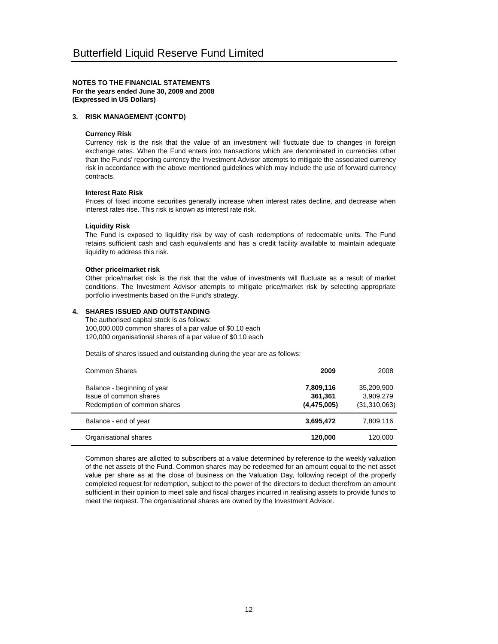## **3. RISK MANAGEMENT (CONT'D)**

#### **Currency Risk**

Currency risk is the risk that the value of an investment will fluctuate due to changes in foreign exchange rates. When the Fund enters into transactions which are denominated in currencies other than the Funds' reporting currency the Investment Advisor attempts to mitigate the associated currency risk in accordance with the above mentioned guidelines which may include the use of forward currency contracts.

#### **Interest Rate Risk**

Prices of fixed income securities generally increase when interest rates decline, and decrease when interest rates rise. This risk is known as interest rate risk.

#### **Liquidity Risk**

The Fund is exposed to liquidity risk by way of cash redemptions of redeemable units. The Fund retains sufficient cash and cash equivalents and has a credit facility available to maintain adequate liquidity to address this risk.

#### **Other price/market risk**

Other price/market risk is the risk that the value of investments will fluctuate as a result of market conditions. The Investment Advisor attempts to mitigate price/market risk by selecting appropriate portfolio investments based on the Fund's strategy.

#### **4. SHARES ISSUED AND OUTSTANDING**

The authorised capital stock is as follows: 100,000,000 common shares of a par value of \$0.10 each 120,000 organisational shares of a par value of \$0.10 each

Details of shares issued and outstanding during the year are as follows:

| Common Shares                                                                        | 2009                                | 2008                                    |
|--------------------------------------------------------------------------------------|-------------------------------------|-----------------------------------------|
| Balance - beginning of year<br>Issue of common shares<br>Redemption of common shares | 7,809,116<br>361,361<br>(4,475,005) | 35,209,900<br>3,909,279<br>(31,310,063) |
| Balance - end of year                                                                | 3,695,472                           | 7,809,116                               |
| Organisational shares                                                                | 120,000                             | 120,000                                 |

Common shares are allotted to subscribers at a value determined by reference to the weekly valuation of the net assets of the Fund. Common shares may be redeemed for an amount equal to the net asset value per share as at the close of business on the Valuation Day, following receipt of the properly completed request for redemption, subject to the power of the directors to deduct therefrom an amount sufficient in their opinion to meet sale and fiscal charges incurred in realising assets to provide funds to meet the request. The organisational shares are owned by the Investment Advisor.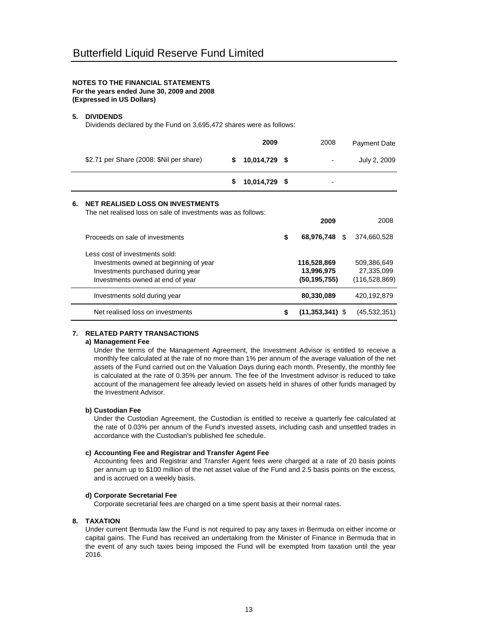#### **5. DIVIDENDS**

Dividends declared by the Fund on 3,695,472 shares were as follows:

|    |                                                                                                                                                   | 2009                |      | 2008                                        | Payment Date                                 |
|----|---------------------------------------------------------------------------------------------------------------------------------------------------|---------------------|------|---------------------------------------------|----------------------------------------------|
|    | \$2.71 per Share (2008: \$Nil per share)                                                                                                          | \$<br>10,014,729    | - \$ |                                             | July 2, 2009                                 |
|    |                                                                                                                                                   | \$<br>10,014,729 \$ |      |                                             |                                              |
| 6. | <b>NET REALISED LOSS ON INVESTMENTS</b><br>The net realised loss on sale of investments was as follows:                                           |                     |      |                                             |                                              |
|    |                                                                                                                                                   |                     |      | 2009                                        | 2008                                         |
|    | Proceeds on sale of investments                                                                                                                   |                     | \$   | 68,976,748<br>S.                            | 374,660,528                                  |
|    | Less cost of investments sold:<br>Investments owned at beginning of year<br>Investments purchased during year<br>Investments owned at end of year |                     |      | 116,528,869<br>13,996,975<br>(50, 195, 755) | 509,386,649<br>27,335,099<br>(116, 528, 869) |
|    | Investments sold during year                                                                                                                      |                     |      | 80,330,089                                  | 420,192,879                                  |
|    | Net realised loss on investments                                                                                                                  |                     | S    | $(11,353,341)$ \$                           | (45, 532, 351)                               |

## **7. RELATED PARTY TRANSACTIONS**

#### **a) Management Fee**

Under the terms of the Management Agreement, the Investment Advisor is entitled to receive a monthly fee calculated at the rate of no more than 1% per annum of the average valuation of the net assets of the Fund carried out on the Valuation Days during each month. Presently, the monthly fee is calculated at the rate of 0.35% per annum. The fee of the Investment advisor is reduced to take account of the management fee already levied on assets held in shares of other funds managed by the Investment Advisor.

#### **b) Custodian Fee**

Under the Custodian Agreement, the Custodian is entitled to receive a quarterly fee calculated at the rate of 0.03% per annum of the Fund's invested assets, including cash and unsettled trades in accordance with the Custodian's published fee schedule.

#### **c) Accounting Fee and Registrar and Transfer Agent Fee**

Accounting fees and Registrar and Transfer Agent fees were charged at a rate of 20 basis points per annum up to \$100 million of the net asset value of the Fund and 2.5 basis points on the excess, and is accrued on a weekly basis.

#### **d) Corporate Secretarial Fee**

Corporate secretarial fees are charged on a time spent basis at their normal rates.

#### **8. TAXATION**

Under current Bermuda law the Fund is not required to pay any taxes in Bermuda on either income or capital gains. The Fund has received an undertaking from the Minister of Finance in Bermuda that in the event of any such taxes being imposed the Fund will be exempted from taxation until the year 2016.